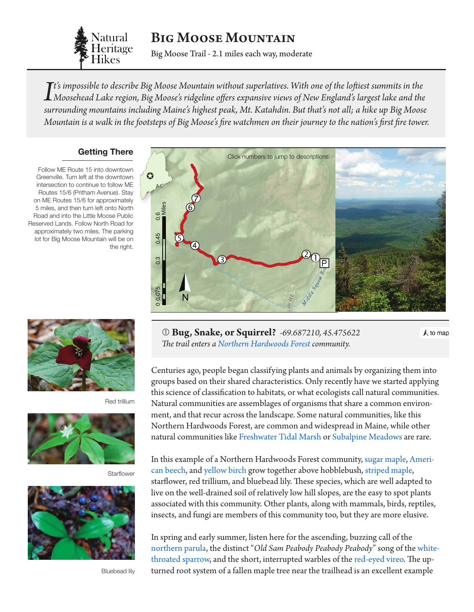

Big Moose Mountain

Big Moose Trail - 2.1 miles each way, moderate

men on their journey to the nat Mountain is a walk in the footsteps of Big Moose's fire watchmen on their journey to the nation's first fire tower. *It's impossible to describe Big Moose Mountain without superlatives. With one of the loftiest summits in the*<br>Moosehead Lake region, Big Moose's ridgeline offers expansive views of New England's largest lake and the<br>sump *t's impossible to describe Big Moose Mountain without superlatives. With one of the loftiest summits in the surrounding mountains including Maine's highest peak, Mt. Katahdin. But that's not all; a hike up Big Moose* 

#### **Getting There**

Follow ME Route 15 into downtown Greenville. Turn left at the downtown intersection to continue to follow ME Routes 15/6 (Pritham Avenue). Stay on ME Routes 15/6 for approximately 5 miles, and then turn left onto North Road and into the Little Moose Public Reserved Lands. Follow North Road for approximately two miles. The parking lot for Big Moose Mountain will be on the right.



Red trillium



**Starflower** 



Bluebead lily

<span id="page-0-0"></span>

 **Bug, Snake, or Squirrel?** *-69.687210, 45.475622 The trail enters a [Northern Hardwoods Forest](http://www.maine.gov/dacf/mnap/features/communities/beechbirchmap.htm) community.*

 $\Lambda$  to map

Centuries ago, people began classifying plants and animals by organizing them into groups based on their shared characteristics. Only recently have we started applying this science of classification to habitats, or what ecologists call natural communities. Natural communities are assemblages of organisms that share a common environment, and that recur across the landscape. Some natural communities, like this [Northern Hardwoods Forest,](http://www.maine.gov/dacf/mnap/features/communities/beechbirchmap.htm) are common and widespread in Maine, while other natural communities like [Freshwater Tidal Marsh](http://www.maine.gov/dacf/mnap/features/communities/freshwatertidalmarsh.htm) or [Subalpine Meadows](http://www.maine.gov/dacf/mnap/features/communities/subalpinemeadow.htm) are rare.

In this example of a Northern Hardwoods Forest community, [sugar maple,](http://dendro.cnre.vt.edu/dendrology/syllabus/factsheet.cfm?ID=2) [Ameri](http://dendro.cnre.vt.edu/dendrology/syllabus/factsheet.cfm?ID=47)[can beech,](http://dendro.cnre.vt.edu/dendrology/syllabus/factsheet.cfm?ID=47) and [yellow birch](http://dendro.cnre.vt.edu/dendrology/syllabus/factsheet.cfm?ID=12) grow together above hobblebush, [striped maple,](http://dendro.cnre.vt.edu/dendrology/syllabus/factsheet.cfm?ID=4) starflower, red trillium, and bluebead lily. These species, which are well adapted to live on the well-drained soil of relatively low hill slopes, are the easy to spot plants associated with this community. Other plants, along with mammals, birds, reptiles, insects, and fungi are members of this community too, but they are more elusive.

In spring and early summer, listen here for the ascending, buzzing call of the [northern parula](http://www.allaboutbirds.org/guide/Northern_Parula/id), the distinct "*Old Sam Peabody Peabody Peabody*" song of the [white](http://www.allaboutbirds.org/guide/White-throated_Sparrow/id)[throated sparrow,](http://www.allaboutbirds.org/guide/White-throated_Sparrow/id) and the short, interrupted warbles of the [red-eyed vireo](http://www.allaboutbirds.org/guide/Red-eyed_Vireo/id). The upturned root system of a fallen maple tree near the trailhead is an excellent example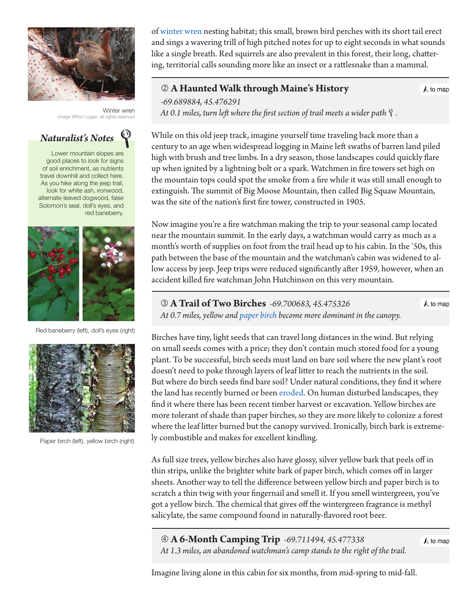

Winter wren Image ©Ron Logan, all rights rese



Lower mountain slopes are good places to look for signs of soil enrichment, as nutrients travel downhill and collect here. As you hike along the jeep trail, look for white ash, ironwood, alternate-leaved dogwood, false Solomon's seal, doll's eyes, and red baneberry.



Red baneberry (left), doll's eyes (right)



Paper birch (left), yellow birch (right)

of [winter wren](http://www.allaboutbirds.org/guide/Winter_Wren/id) nesting habitat; this small, brown bird perches with its short tail erect and sings a wavering trill of high pitched notes for up to eight seconds in what sounds like a single breath. Red squirrels are also prevalent in this forest, their long, chattering, territorial calls sounding more like an insect or a rattlesnake than a mammal.

### **A Haunted Walk through Maine's History**

 $\bigwedge$  to map

*-69.689884, 45.476291 At 0.1 miles, turn left where the first section of trail meets a wider path.*

While on this old jeep track, imagine yourself time traveling back more than a century to an age when widespread logging in Maine left swaths of barren land piled high with brush and tree limbs. In a dry season, those landscapes could quickly flare up when ignited by a lightning bolt or a spark. Watchmen in fire towers set high on the mountain tops could spot the smoke from a fire while it was still small enough to extinguish. The summit of Big Moose Mountain, then called Big Squaw Mountain, was the site of the nation's first fire tower, constructed in 1905.

Now imagine you're a fire watchman making the trip to your seasonal camp located near the mountain summit. In the early days, a watchman would carry as much as a month's worth of supplies on foot from the trail head up to his cabin. In the '50s, this path between the base of the mountain and the watchman's cabin was widened to allow access by jeep. Jeep trips were reduced significantly after 1959, however, when an accident killed fire watchman John Hutchinson on this very mountain.

 **A Trail of Two Birches** *-69.700683, 45.475326*  $\bigwedge$  to map  *At 0.7 miles, yellow and [paper birch](http://dendro.cnre.vt.edu/dendrology/syllabus/factsheet.cfm?ID=14) become more dominant in the canopy.*

Birches have tiny, light seeds that can travel long distances in the wind. But relying on small seeds comes with a price; they don't contain much stored food for a young plant. To be successful, birch seeds must land on bare soil where the new plant's root doesn't need to poke through layers of leaf litter to reach the nutrients in the soil. But where do birch seeds find bare soil? Under natural conditions, they find it where the land has recently burned or been [eroded](#page-3-0). On human disturbed landscapes, they find it where there has been recent timber harvest or excavation. Yellow birches are more tolerant of shade than [paper birches,](http://dendro.cnre.vt.edu/dendrology/syllabus/factsheet.cfm?ID=14) so they are more likely to colonize a forest where the leaf litter burned but the canopy survived. Ironically, birch bark is extremely combustible and makes for excellent kindling.

As full size trees, yellow birches also have glossy, silver yellow bark that peels off in thin strips, unlike the brighter white bark of paper birch, which comes off in larger sheets. Another way to tell the difference between yellow birch and paper birch is to scratch a thin twig with your fingernail and smell it. If you smell wintergreen, you've got a yellow birch. The chemical that gives off the wintergreen fragrance is methyl salicylate, the same compound found in naturally-flavored root beer.

 **A 6-Month Camping Trip** *-69.711494, 45.477338 At 1.3 miles, an abandoned watchman's camp stands to the right of the trail[.](#page-0-0)*

 $\bigwedge$  to map

Imagine living alone in this cabin for six months, from mid-spring to mid-fall.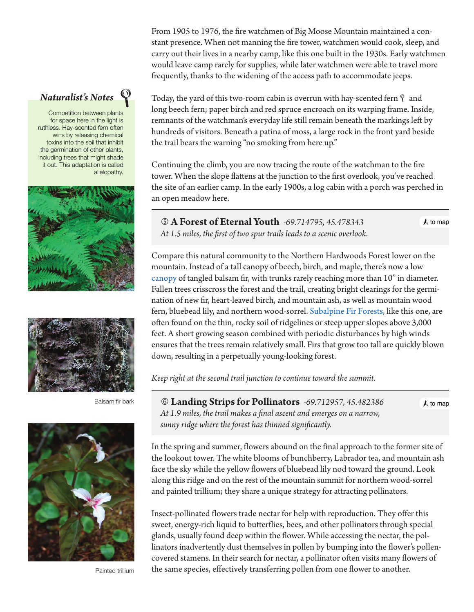From 1905 to 1976, the fire watchmen of Big Moose Mountain maintained a constant presence. When not manning the fire tower, watchmen would cook, sleep, and carry out their lives in a nearby camp, like this one built in the 1930s. Early watchmen would leave camp rarely for supplies, while later watchmen were able to travel more frequently, thanks to the widening of the access path to accommodate jeeps.

Today, the yard of this two-room cabin is overrun with hay-scented fern  $\gamma$  and long beech fern; paper birch and red spruce encroach on its warping frame. Inside, remnants of the watchman's everyday life still remain beneath the markings left by hundreds of visitors. Beneath a patina of moss, a large rock in the front yard beside the trail bears the warning "no smoking from here up."

Continuing the climb, you are now tracing the route of the watchman to the fire tower. When the slope flattens at the junction to the first overlook, you've reached the site of an earlier camp. In the early 1900s, a log cabin with a porch was perched in an open meadow here.

 **A Forest of Eternal Youth** *-69.714795, 45.478343 At 1.5 miles, the first of two spur trails leads to a scenic overlook.*

Compare this natural community to the Northern Hardwoods Forest lower on the mountain. Instead of a tall canopy of beech, birch, and maple, there's now a low [canopy](#page-3-0) of tangled balsam fir, with trunks rarely reaching more than 10" in diameter. Fallen trees crisscross the forest and the trail, creating bright clearings for the germination of new fir, heart-leaved birch, and mountain ash, as well as mountain wood fern, bluebead lily, and northern wood-sorrel. [Subalpine Fir Forests,](http://www.maine.gov/dacf/mnap/features/communities/subalpinefirforest.htm) like this one, are often found on the thin, rocky soil of ridgelines or steep upper slopes above 3,000 feet. A short growing season combined with periodic disturbances by high winds ensures that the trees remain relatively small. Firs that grow too tall are quickly blown down, resulting in a perpetually young-looking forest.

*Keep right at the second trail junction to continue toward the summit.*

 **Landing Strips for Pollinators** *-69.712957, 45.482386 At 1.9 miles, the trail makes a final ascent and emerges on a narrow, sunny ridge where the forest has thinned significantly.*

In the spring and summer, flowers abound on the final approach to the former site of the lookout tower. The white blooms of bunchberry, Labrador tea, and mountain ash face the sky while the yellow flowers of bluebead lily nod toward the ground. Look along this ridge and on the rest of the mountain summit for northern wood-sorrel and painted trillium; they share a unique strategy for attracting pollinators.

Insect-pollinated flowers trade nectar for help with reproduction. They offer this sweet, energy-rich liquid to butterflies, bees, and other pollinators through special glands, usually found deep within the flower. While accessing the nectar, the pollinators inadvertently dust themselves in pollen by bumping into the flower's pollencovered stamens. In their search for nectar, a pollinator often visits many flowers of the same species, effectively transferring pollen from one flower to another.

# *Naturalist's Notes*

Competition between plants for space here in the light is ruthless. Hay-scented fern often wins by releasing chemical toxins into the soil that inhibit the germination of other plants, including trees that might shade it out. This adaptation is called allelopathy.





Balsam fir bark



Painted trillium

 $\bigwedge$  to map

 $\bigwedge$  to map